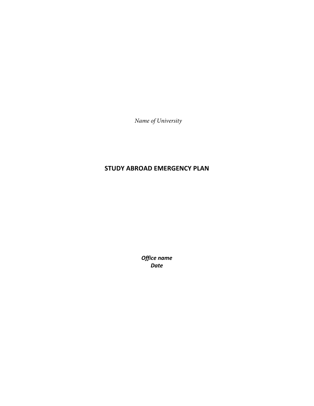*Name of University*

# **STUDY ABROAD EMERGENCY PLAN**

*Office name Date*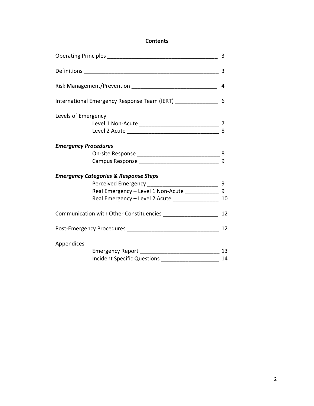## **Contents**

|                                                               |                                                               | 3  |
|---------------------------------------------------------------|---------------------------------------------------------------|----|
|                                                               |                                                               | 4  |
| International Emergency Response Team (IERT) ________________ |                                                               |    |
| Levels of Emergency                                           |                                                               |    |
|                                                               |                                                               |    |
|                                                               |                                                               | 8  |
| <b>Emergency Procedures</b>                                   |                                                               |    |
|                                                               |                                                               |    |
|                                                               |                                                               | 9  |
|                                                               | <b>Emergency Categories &amp; Response Steps</b>              |    |
|                                                               |                                                               |    |
|                                                               | Real Emergency - Level 1 Non-Acute _______________ 9          |    |
|                                                               | Real Emergency - Level 2 Acute ____________________ 10        |    |
|                                                               | Communication with Other Constituencies _____________________ | 12 |
|                                                               |                                                               |    |
| Appendices                                                    |                                                               |    |
|                                                               |                                                               | 13 |
|                                                               | <b>Incident Specific Questions</b>                            | 14 |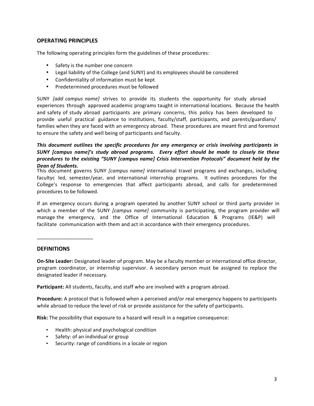## **OPERATING PRINCIPLES**

The following operating principles form the guidelines of these procedures:

- Safety is the number one concern
- Legal liability of the College (and SUNY) and its employees should be considered
- Confidentiality of information must be kept
- Predetermined procedures must be followed

SUNY *[add campus name]* strives to provide its students the opportunity for study abroad experiences through approved academic programs taught in international locations. Because the health and safety of study abroad participants are primary concerns, this policy has been developed to provide useful practical guidance to institutions, faculty/staff, participants, and parents/guardians/ families when they are faced with an emergency abroad. These procedures are meant first and foremost to ensure the safety and well being of participants and faculty.

## *This document outlines the specific procedures for any emergency or crisis involving participants in SUNY* [campus name]'s study abroad programs. Every effort should be made to closely tie these *procedures to the existing "SUNY [campus name] Crisis Intervention Protocols" document held by the Dean of Students.*

This document governs SUNY *[campus name]* international travel programs and exchanges, including facultyc led, semester/year, and international internship programs. It outlines procedures for the College's response to emergencies that affect participants abroad, and calls for predetermined procedures to be followed.

If an emergency occurs during a program operated by another SUNY school or third party provider in which a member of the SUNY *[campus name]* community is participating, the program provider will manage the emergency, and the Office of International Education & Programs (IE&P) will facilitate communication with them and act in accordance with their emergency procedures.

#### **DEFINITIONS**

\_\_\_\_\_\_\_\_\_\_\_\_\_\_\_\_\_\_\_\_

**On-Site Leader:** Designated leader of program. May be a faculty member or international office director, program coordinator, or internship supervisor. A secondary person must be assigned to replace the designated leader if necessary.

Participant: All students, faculty, and staff who are involved with a program abroad.

**Procedure:** A protocol that is followed when a perceived and/or real emergency happens to participants while abroad to reduce the level of risk or provide assistance for the safety of participants.

**Risk:** The possibility that exposure to a hazard will result in a negative consequence:

- Health: physical and psychological condition
- Safety: of an individual or group
- Security: range of conditions in a locale or region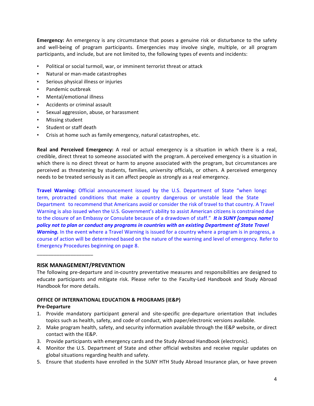**Emergency:** An emergency is any circumstance that poses a genuine risk or disturbance to the safety and well-being of program participants. Emergencies may involve single, multiple, or all program participants, and include, but are not limited to, the following types of events and incidents:

- Political or social turmoil, war, or imminent terrorist threat or attack
- Natural or man-made catastrophes
- Serious physical illness or injuries
- Pandemic outbreak
- Mental/emotional illness
- Accidents or criminal assault
- Sexual aggression, abuse, or harassment
- Missing student
- Student or staff death
- Crisis at home such as family emergency, natural catastrophes, etc.

**Real and Perceived Emergency:** A real or actual emergency is a situation in which there is a real, credible, direct threat to someone associated with the program. A perceived emergency is a situation in which there is no direct threat or harm to anyone associated with the program, but circumstances are perceived as threatening by students, families, university officials, or others. A perceived emergency needs to be treated seriously as it can affect people as strongly as a real emergency.

**Travel Warning:** Official announcement issued by the U.S. Department of State "when longc term, protracted conditions that make a country dangerous or unstable lead the State Department to recommend that Americans avoid or consider the risk of travel to that country. A Travel Warning is also issued when the U.S. Government's ability to assist American citizens is constrained due to the closure of an Embassy or Consulate because of a drawdown of staff." It is SUNY [campus name] policy not to plan or conduct any programs in countries with an existing Department of State Travel **Warning.** In the event where a Travel Warning is issued for a country where a program is in progress, a course of action will be determined based on the nature of the warning and level of emergency. Refer to Emergency Procedures beginning on page 8.

 $\_$ 

## **RISK MANAGEMENT/PREVENTION**

The following pre-departure and in-country preventative measures and responsibilities are designed to educate participants and mitigate risk. Please refer to the Faculty-Led Handbook and Study Abroad Handbook for more details.

## **OFFICE OF INTERNATIONAL EDUCATION & PROGRAMS (IE&P)**

## **Pre-Departure**

- 1. Provide mandatory participant general and site-specific pre-departure orientation that includes topics such as health, safety, and code of conduct, with paper/electronic versions available.
- 2. Make program health, safety, and security information available through the IE&P website, or direct contact with the IE&P.
- 3. Provide participants with emergency cards and the Study Abroad Handbook (electronic).
- 4. Monitor the U.S. Department of State and other official websites and receive regular updates on global situations regarding health and safety.
- 5. Ensure that students have enrolled in the SUNY HTH Study Abroad Insurance plan, or have proven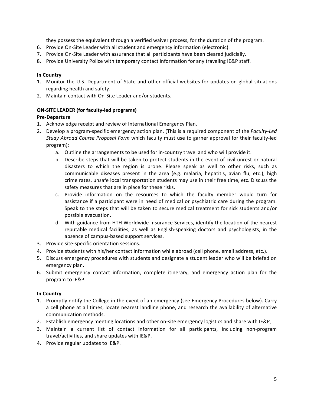they possess the equivalent through a verified waiver process, for the duration of the program.

- 6. Provide On-Site Leader with all student and emergency information (electronic).
- 7. Provide On-Site Leader with assurance that all participants have been cleared judicially.
- 8. Provide University Police with temporary contact information for any traveling IE&P staff.

## **In Country**

- 1. Monitor the U.S. Department of State and other official websites for updates on global situations regarding health and safety.
- 2. Maintain contact with On-Site Leader and/or students.

## **ON-SITE LEADER (for faculty-led programs)**

## **Pre-Departure**

- 1. Acknowledge receipt and review of International Emergency Plan.
- 2. Develop a program-specific emergency action plan. (This is a required component of the *Faculty-Led* Study Abroad Course Proposal Form which faculty must use to garner approval for their faculty-led program):
	- a. Outline the arrangements to be used for in-country travel and who will provide it.
	- b. Describe steps that will be taken to protect students in the event of civil unrest or natural disasters to which the region is prone. Please speak as well to other risks, such as communicable diseases present in the area (e.g. malaria, hepatitis, avian flu, etc.), high crime rates, unsafe local transportation students may use in their free time, etc. Discuss the safety measures that are in place for these risks.
	- c. Provide information on the resources to which the faculty member would turn for assistance if a participant were in need of medical or psychiatric care during the program. Speak to the steps that will be taken to secure medical treatment for sick students and/or possible evacuation.
	- d. With guidance from HTH Worldwide Insurance Services, identify the location of the nearest reputable medical facilities, as well as English-speaking doctors and psychologists, in the absence of campus-based support services.
- 3. Provide site-specific orientation sessions.
- 4. Provide students with his/her contact information while abroad (cell phone, email address, etc.).
- 5. Discuss emergency procedures with students and designate a student leader who will be briefed on emergency plan.
- 6. Submit emergency contact information, complete itinerary, and emergency action plan for the program to IE&P.

## **In Country**

- 1. Promptly notify the College in the event of an emergency (see Emergency Procedures below). Carry a cell phone at all times, locate nearest landline phone, and research the availability of alternative communication methods.
- 2. Establish emergency meeting locations and other on-site emergency logistics and share with IE&P.
- 3. Maintain a current list of contact information for all participants, including non-program travel/activities, and share updates with IE&P.
- 4. Provide regular updates to IE&P.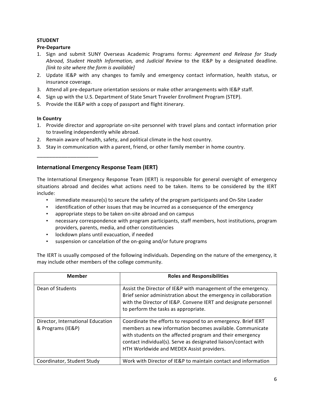## **STUDENT**

## **Pre-Departure**

- 1. Sign and submit SUNY Overseas Academic Programs forms: Agreement and Release for Study *Abroad, Student Health Information, a*nd *Judicial Review* to the IE&P by a designated deadline. *[link to site where the form is available]*
- 2. Update IE&P with any changes to family and emergency contact information, health status, or insurance coverage.
- 3. Attend all pre-departure orientation sessions or make other arrangements with IE&P staff.
- 4. Sign up with the U.S. Department of State Smart Traveler Enrollment Program (STEP).
- 5. Provide the IE&P with a copy of passport and flight itinerary.

## **In Country**

\_\_\_\_\_\_\_\_\_\_\_\_\_\_\_\_\_\_\_\_

- 1. Provide director and appropriate on-site personnel with travel plans and contact information prior to traveling independently while abroad.
- 2. Remain aware of health, safety, and political climate in the host country.
- 3. Stay in communication with a parent, friend, or other family member in home country.

# **International Emergency Response Team (IERT)**

The International Emergency Response Team (IERT) is responsible for general oversight of emergency situations abroad and decides what actions need to be taken. Items to be considered by the IERT include:

- immediate measure(s) to secure the safety of the program participants and On-Site Leader
- identification of other issues that may be incurred as a consequence of the emergency
- appropriate steps to be taken on-site abroad and on campus
- necessary correspondence with program participants, staff members, host institutions, program providers, parents, media, and other constituencies
- lockdown plans until evacuation, if needed
- suspension or cancelation of the on-going and/or future programs

The IERT is usually composed of the following individuals. Depending on the nature of the emergency, it may include other members of the college community.

| <b>Member</b>                                          | <b>Roles and Responsibilities</b>                                                                                                                                                                                                                                                                       |
|--------------------------------------------------------|---------------------------------------------------------------------------------------------------------------------------------------------------------------------------------------------------------------------------------------------------------------------------------------------------------|
| Dean of Students                                       | Assist the Director of IE&P with management of the emergency.<br>Brief senior administration about the emergency in collaboration<br>with the Director of IE&P. Convene IERT and designate personnel<br>to perform the tasks as appropriate.                                                            |
| Director, International Education<br>& Programs (IE&P) | Coordinate the efforts to respond to an emergency. Brief IERT<br>members as new information becomes available. Communicate<br>with students on the affected program and their emergency<br>contact individual(s). Serve as designated liaison/contact with<br>HTH Worldwide and MEDEX Assist providers. |
| Coordinator, Student Study                             | Work with Director of IE&P to maintain contact and information                                                                                                                                                                                                                                          |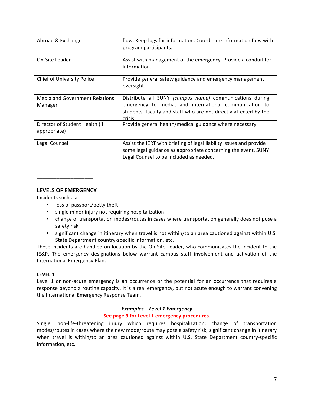| Abroad & Exchange                              | flow. Keep logs for information. Coordinate information flow with<br>program participants.                                                                                                       |
|------------------------------------------------|--------------------------------------------------------------------------------------------------------------------------------------------------------------------------------------------------|
| On-Site Leader                                 | Assist with management of the emergency. Provide a conduit for<br>information.                                                                                                                   |
| Chief of University Police                     | Provide general safety guidance and emergency management<br>oversight.                                                                                                                           |
| Media and Government Relations<br>Manager      | Distribute all SUNY [campus name] communications during<br>emergency to media, and international communication to<br>students, faculty and staff who are not directly affected by the<br>crisis. |
| Director of Student Health (if<br>appropriate) | Provide general health/medical guidance where necessary.                                                                                                                                         |
| Legal Counsel                                  | Assist the IERT with briefing of legal liability issues and provide<br>some legal guidance as appropriate concerning the event. SUNY<br>Legal Counsel to be included as needed.                  |

## **LEVELS OF EMERGENCY**

\_\_\_\_\_\_\_\_\_\_\_\_\_\_\_\_\_\_\_\_

Incidents such as:

- loss of passport/petty theft
- single minor injury not requiring hospitalization
- change of transportation modes/routes in cases where transportation generally does not pose a safety risk
- significant change in itinerary when travel is not within/to an area cautioned against within U.S. State Department country-specific information, etc.

These incidents are handled on location by the On-Site Leader, who communicates the incident to the IE&P. The emergency designations below warrant campus staff involvement and activation of the International Emergency Plan.

## LEVEL 1

Level 1 or non-acute emergency is an occurrence or the potential for an occurrence that requires a response beyond a routine capacity. It is a real emergency, but not acute enough to warrant convening the International Emergency Response Team.

## *Examples – Level 1 Emergency*

## **See page 9 for Level 1 emergency procedures.**

Single, non-life-threatening injury which requires hospitalization; change of transportation modes/routes in cases where the new mode/route may pose a safety risk; significant change in itinerary when travel is within/to an area cautioned against within U.S. State Department country-specific information, etc.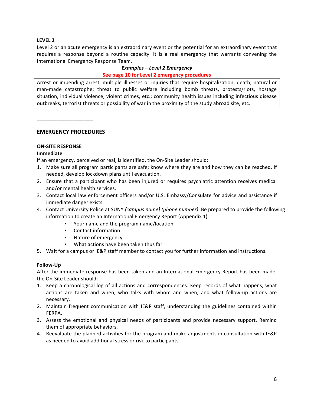## **LEVEL 2**

Level 2 or an acute emergency is an extraordinary event or the potential for an extraordinary event that requires a response beyond a routine capacity. It is a real emergency that warrants convening the International Emergency Response Team.

#### *Examples – Level 2 Emergency*

#### **See page 10 for Level 2 emergency procedures**

Arrest or impending arrest, multiple illnesses or injuries that require hospitalization; death; natural or man-made catastrophe; threat to public welfare including bomb threats, protests/riots, hostage situation, individual violence, violent crimes, etc.; community health issues including infectious disease outbreaks, terrorist threats or possibility of war in the proximity of the study abroad site, etc.

\_\_\_\_\_\_\_\_\_\_\_\_\_\_\_\_\_\_\_\_

#### **EMERGENCY PROCEDURES**

## **ON-SITE RESPONSE**

#### **Immediate**

If an emergency, perceived or real, is identified, the On-Site Leader should:

- 1. Make sure all program participants are safe; know where they are and how they can be reached. If needed, develop lockdown plans until evacuation.
- 2. Ensure that a participant who has been injured or requires psychiatric attention receives medical and/or mental health services.
- 3. Contact local law enforcement officers and/or U.S. Embassy/Consulate for advice and assistance if immediate danger exists.
- 4. Contact University Police at SUNY *[campus name] (phone number)*. Be prepared to provide the following information to create an International Emergency Report (Appendix 1):
	- Your name and the program name/location
	- Contact information
	- Nature of emergency
	- What actions have been taken thus far
- 5. Wait for a campus or IE&P staff member to contact you for further information and instructions.

#### **Follow-Up**

After the immediate response has been taken and an International Emergency Report has been made, the On-Site Leader should:

- 1. Keep a chronological log of all actions and correspondences. Keep records of what happens, what actions are taken and when, who talks with whom and when, and what follow-up actions are necessary.
- 2. Maintain frequent communication with IE&P staff, understanding the guidelines contained within FERPA.
- 3. Assess the emotional and physical needs of participants and provide necessary support. Remind them of appropriate behaviors.
- 4. Reevaluate the planned activities for the program and make adjustments in consultation with IE&P as needed to avoid additional stress or risk to participants.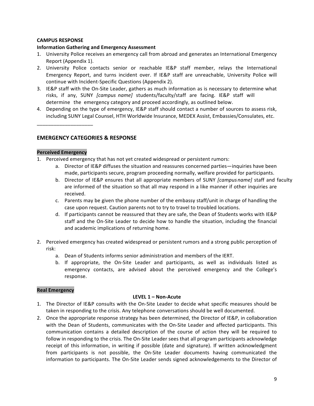## **CAMPUS RESPONSE**

## **Information Gathering and Emergency Assessment**

- 1. University Police receives an emergency call from abroad and generates an International Emergency Report (Appendix 1).
- 2. University Police contacts senior or reachable IE&P staff member, relays the International Emergency Report, and turns incident over. If IE&P staff are unreachable, University Police will continue with Incident-Specific Questions (Appendix 2).
- 3. IE&P staff with the On-Site Leader, gathers as much information as is necessary to determine what risks, if any, SUNY *[campus name]* students/faculty/staff are facing. IE&P staff will determine the emergency category and proceed accordingly, as outlined below.
- 4. Depending on the type of emergency, IE&P staff should contact a number of sources to assess risk, including SUNY Legal Counsel, HTH Worldwide Insurance, MEDEX Assist, Embassies/Consulates, etc.

**EMERGENCY CATEGORIES & RESPONSE** 

## **Perceived Emergency**

\_\_\_\_\_\_\_\_\_\_\_\_\_\_\_\_\_\_\_\_

- 1. Perceived emergency that has not yet created widespread or persistent rumors:
	- a. Director of IE&P diffuses the situation and reassures concerned parties—inquiries have been made, participants secure, program proceeding normally, welfare provided for participants.
	- b. Director of IE&P ensures that all appropriate members of SUNY *[campus name]* staff and faculty are informed of the situation so that all may respond in a like manner if other inquiries are received.
	- c. Parents may be given the phone number of the embassy staff/unit in charge of handling the case upon request. Caution parents not to try to travel to troubled locations.
	- d. If participants cannot be reassured that they are safe, the Dean of Students works with IE&P staff and the On-Site Leader to decide how to handle the situation, including the financial and academic implications of returning home.
- 2. Perceived emergency has created widespread or persistent rumors and a strong public perception of risk:
	- a. Dean of Students informs senior administration and members of the IERT.
	- b. If appropriate, the On-Site Leader and participants, as well as individuals listed as emergency contacts, are advised about the perceived emergency and the College's response.

## **Real Emergency**

## LEVEL 1 - Non-Acute

- 1. The Director of IE&P consults with the On-Site Leader to decide what specific measures should be taken in responding to the crisis. Any telephone conversations should be well documented.
- 2. Once the appropriate response strategy has been determined, the Director of IE&P, in collaboration with the Dean of Students, communicates with the On-Site Leader and affected participants. This communication contains a detailed description of the course of action they will be required to follow in responding to the crisis. The On-Site Leader sees that all program participants acknowledge receipt of this information, in writing if possible (date and signature). If written acknowledgment from participants is not possible, the On-Site Leader documents having communicated the information to participants. The On-Site Leader sends signed acknowledgements to the Director of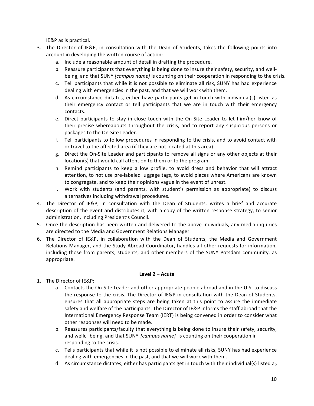IE&P as is practical.

- 3. The Director of IE&P, in consultation with the Dean of Students, takes the following points into account in developing the written course of action:
	- a. Include a reasonable amount of detail in drafting the procedure.
	- b. Reassure participants that everything is being done to insure their safety, security, and wellbeing, and that SUNY *[campus name]* is counting on their cooperation in responding to the crisis.
	- c. Tell participants that while it is not possible to eliminate all risk, SUNY has had experience dealing with emergencies in the past, and that we will work with them.
	- d. As circumstance dictates, either have participants get in touch with individual(s) listed as their emergency contact or tell participants that we are in touch with their emergency contacts.
	- e. Direct participants to stay in close touch with the On-Site Leader to let him/her know of their precise whereabouts throughout the crisis, and to report any suspicious persons or packages to the On-Site Leader.
	- f. Tell participants to follow procedures in responding to the crisis, and to avoid contact with or travel to the affected area (if they are not located at this area).
	- g. Direct the On-Site Leader and participants to remove all signs or any other objects at their location(s) that would call attention to them or to the program.
	- h. Remind participants to keep a low profile, to avoid dress and behavior that will attract attention, to not use pre-labeled luggage tags, to avoid places where Americans are known to congregate, and to keep their opinions vague in the event of unrest.
	- i. Work with students (and parents, with student's permission as appropriate) to discuss alternatives including withdrawal procedures.
- 4. The Director of IE&P, in consultation with the Dean of Students, writes a brief and accurate description of the event and distributes it, with a copy of the written response strategy, to senior administration, including President's Council.
- 5. Once the description has been written and delivered to the above individuals, any media inquiries are directed to the Media and Government Relations Manager.
- 6. The Director of IE&P, in collaboration with the Dean of Students, the Media and Government Relations Manager, and the Study Abroad Coordinator, handles all other requests for information, including those from parents, students, and other members of the SUNY Potsdam community, as appropriate.

#### **Level 2 – Acute**

- 1. The Director of IE&P:
	- a. Contacts the On-Site Leader and other appropriate people abroad and in the U.S. to discuss the response to the crisis. The Director of IE&P in consultation with the Dean of Students, ensures that all appropriate steps are being taken at this point to assure the immediate safety and welfare of the participants. The Director of IE&P informs the staff abroad that the International Emergency Response Team (IERT) is being convened in order to consider what other responses will need to be made.
	- b. Reassures participants/faculty that everything is being done to insure their safety, security, and wellc being, and that SUNY *[campus name]* is counting on their cooperation in responding to the crisis.
	- c. Tells participants that while it is not possible to eliminate all risks, SUNY has had experience dealing with emergencies in the past, and that we will work with them.
	- d. As circumstance dictates, either has participants get in touch with their individual(s) listed as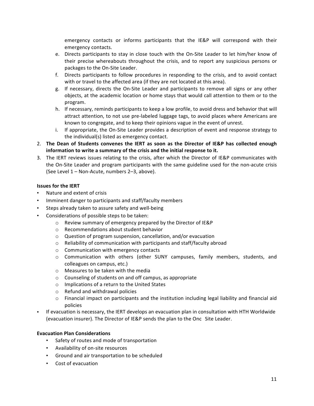emergency contacts or informs participants that the IE&P will correspond with their emergency contacts.

- e. Directs participants to stay in close touch with the On-Site Leader to let him/her know of their precise whereabouts throughout the crisis, and to report any suspicious persons or packages to the On-Site Leader.
- f. Directs participants to follow procedures in responding to the crisis, and to avoid contact with or travel to the affected area (if they are not located at this area).
- g. If necessary, directs the On-Site Leader and participants to remove all signs or any other objects, at the academic location or home stays that would call attention to them or to the program.
- h. If necessary, reminds participants to keep a low profile, to avoid dress and behavior that will attract attention, to not use pre-labeled luggage tags, to avoid places where Americans are known to congregate, and to keep their opinions vague in the event of unrest.
- i. If appropriate, the On-Site Leader provides a description of event and response strategy to the individual(s) listed as emergency contact.
- 2. The Dean of Students convenes the IERT as soon as the Director of IE&P has collected enough information to write a summary of the crisis and the initial response to it.
- 3. The IERT reviews issues relating to the crisis, after which the Director of IE&P communicates with the On-Site Leader and program participants with the same guideline used for the non-acute crisis (See Level 1 - Non-Acute, numbers 2-3, above).

## **Issues for the IERT**

- Nature and extent of crisis
- Imminent danger to participants and staff/faculty members
- Steps already taken to assure safety and well-being
- Considerations of possible steps to be taken:
	- o Review summary of emergency prepared by the Director of IE&P
	- $\circ$  Recommendations about student behavior
	- $\circ$  Question of program suspension, cancellation, and/or evacuation
	- $\circ$  Reliability of communication with participants and staff/faculty abroad
	- $\circ$  Communication with emergency contacts
	- $\circ$  Communication with others (other SUNY campuses, family members, students, and colleagues on campus, etc.)
	- $\circ$  Measures to be taken with the media
	- $\circ$  Counseling of students on and off campus, as appropriate
	- $\circ$  Implications of a return to the United States
	- $\circ$  Refund and withdrawal policies
	- $\circ$  Financial impact on participants and the institution including legal liability and financial aid policies
- If evacuation is necessary, the IERT develops an evacuation plan in consultation with HTH Worldwide (evacuation insurer). The Director of IE&P sends the plan to the Onc Site Leader.

## **Evacuation Plan Considerations**

- Safety of routes and mode of transportation
- Availability of on-site resources
- Ground and air transportation to be scheduled
- Cost of evacuation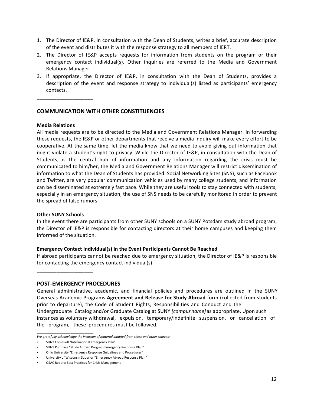- 1. The Director of IE&P, in consultation with the Dean of Students, writes a brief, accurate description of the event and distributes it with the response strategy to all members of IERT.
- 2. The Director of IE&P accepts requests for information from students on the program or their emergency contact individual(s). Other inquiries are referred to the Media and Government Relations Manager.
- 3. If appropriate, the Director of IE&P, in consultation with the Dean of Students, provides a description of the event and response strategy to individual(s) listed as participants' emergency contacts.

## **COMMUNICATION WITH OTHER CONSTITUENCIES**

#### **Media Relations**

\_\_\_\_\_\_\_\_\_\_\_\_\_\_\_\_\_\_\_\_

All media requests are to be directed to the Media and Government Relations Manager. In forwarding these requests, the IE&P or other departments that receive a media inquiry will make every effort to be cooperative. At the same time, let the media know that we need to avoid giving out information that might violate a student's right to privacy. While the Director of IE&P, in consultation with the Dean of Students, is the central hub of information and any information regarding the crisis must be communicated to him/her, the Media and Government Relations Manager will restrict dissemination of information to what the Dean of Students has provided. Social Networking Sites (SNS), such as Facebook and Twitter, are very popular communication vehicles used by many college students, and information can be disseminated at extremely fast pace. While they are useful tools to stay connected with students, especially in an emergency situation, the use of SNS needs to be carefully monitored in order to prevent the spread of false rumors.

#### **Other SUNY Schools**

In the event there are participants from other SUNY schools on a SUNY Potsdam study abroad program, the Director of IE&P is responsible for contacting directors at their home campuses and keeping them informed of the situation.

#### **Emergency Contact Individual(s) in the Event Participants Cannot Be Reached**

If abroad participants cannot be reached due to emergency situation, the Director of IE&P is responsible for contacting the emergency contact individual(s).

\_\_\_\_\_\_\_\_\_\_\_\_\_\_\_\_\_\_\_\_

#### **POST-EMERGENCY PROCEDURES**

General administrative, academic, and financial policies and procedures are outlined in the SUNY Overseas Academic Programs **Agreement and Release for Study Abroad** form (collected from students prior to departure), the Code of Student Rights, Responsibilities and Conduct and the

Undergraduate Catalog and/or Graduate Catalog at SUNY *[campus name]* as appropriate. Upon such instances as voluntary withdrawal, expulsion, temporary/indefinite suspension, or cancellation of the program, these procedures must be followed.

\_\_\_\_\_\_\_\_\_\_\_\_\_\_\_\_\_\_\_\_

We gratefully acknowledge the inclusion of material adapted from these and other sources:

SUNY Cobleskill "International Emergency Plan"

SUNY Purchase "Study Abroad Program Emergency Response Plan"

Ohio University "Emergency Response Guidelines and Procedures"

University of Wisconsin Superior "Emergency Abroad Response Plan"

OSAC Report: Best Practices for Crisis Management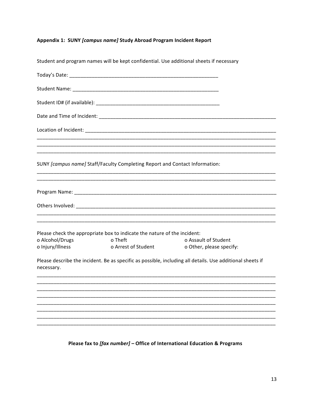## Appendix 1: SUNY [campus name] Study Abroad Program Incident Report

| Student and program names will be kept confidential. Use additional sheets if necessary |                                                                                                                                                                                |
|-----------------------------------------------------------------------------------------|--------------------------------------------------------------------------------------------------------------------------------------------------------------------------------|
|                                                                                         |                                                                                                                                                                                |
|                                                                                         |                                                                                                                                                                                |
|                                                                                         |                                                                                                                                                                                |
|                                                                                         |                                                                                                                                                                                |
|                                                                                         |                                                                                                                                                                                |
|                                                                                         |                                                                                                                                                                                |
|                                                                                         |                                                                                                                                                                                |
|                                                                                         |                                                                                                                                                                                |
|                                                                                         |                                                                                                                                                                                |
|                                                                                         | <u> 1999 - Johann Harry Harry Harry Harry Harry Harry Harry Harry Harry Harry Harry Harry Harry Harry Harry Harry</u>                                                          |
| o Theft                                                                                 | o Assault of Student<br>o Other, please specify:                                                                                                                               |
|                                                                                         | Please describe the incident. Be as specific as possible, including all details. Use additional sheets if                                                                      |
|                                                                                         |                                                                                                                                                                                |
|                                                                                         |                                                                                                                                                                                |
|                                                                                         |                                                                                                                                                                                |
|                                                                                         |                                                                                                                                                                                |
|                                                                                         | SUNY [campus name] Staff/Faculty Completing Report and Contact Information:<br>Please check the appropriate box to indicate the nature of the incident:<br>o Arrest of Student |

Please fax to [fax number] - Office of International Education & Programs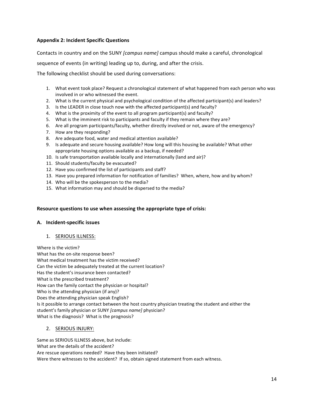### **Appendix 2: Incident Specific Questions**

Contacts in country and on the SUNY *[campus name]* campus should make a careful, chronological

sequence of events (in writing) leading up to, during, and after the crisis.

The following checklist should be used during conversations:

- 1. What event took place? Request a chronological statement of what happened from each person who was involved in or who witnessed the event.
- 2. What is the current physical and psychological condition of the affected participant(s) and leaders?
- 3. Is the LEADER in close touch now with the affected participant(s) and faculty?
- 4. What is the proximity of the event to all program participant(s) and faculty?
- 5. What is the imminent risk to participants and faculty if they remain where they are?
- 6. Are all program participants/faculty, whether directly involved or not, aware of the emergency?
- 7. How are they responding?
- 8. Are adequate food, water and medical attention available?
- 9. Is adequate and secure housing available? How long will this housing be available? What other appropriate housing options available as a backup, if needed?
- 10. Is safe transportation available locally and internationally (land and air)?
- 11. Should students/faculty be evacuated?
- 12. Have you confirmed the list of participants and staff?
- 13. Have you prepared information for notification of families? When, where, how and by whom?
- 14. Who will be the spokesperson to the media?
- 15. What information may and should be dispersed to the media?

#### Resource questions to use when assessing the appropriate type of crisis:

#### **A. Incident-specific issues**

1. SERIOUS ILLNESS:

Where is the victim? What has the on-site response been? What medical treatment has the victim received? Can the victim be adequately treated at the current location? Has the student's insurance been contacted? What is the prescribed treatment? How can the family contact the physician or hospital? Who is the attending physician (if any)? Does the attending physician speak English? Is it possible to arrange contact between the host country physician treating the student and either the student's family physician or SUNY *[campus name]* physician? What is the diagnosis? What is the prognosis?

#### 2. SERIOUS INJURY:

Same as SERIOUS ILLNESS above, but include: What are the details of the accident? Are rescue operations needed? Have they been initiated? Were there witnesses to the accident? If so, obtain signed statement from each witness.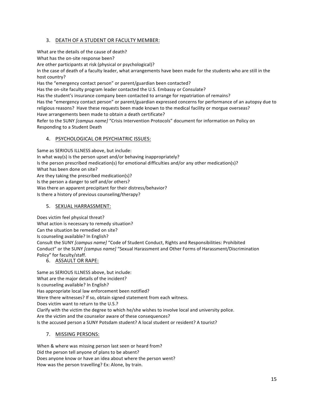## 3. DEATH OF A STUDENT OR FACULTY MEMBER:

What are the details of the cause of death?

What has the on-site response been?

Are other participants at risk (physical or psychological)?

In the case of death of a faculty leader, what arrangements have been made for the students who are still in the host country?

Has the "emergency contact person" or parent/guardian been contacted?

Has the on-site faculty program leader contacted the U.S. Embassy or Consulate?

Has the student's insurance company been contacted to arrange for repatriation of remains?

Has the "emergency contact person" or parent/guardian expressed concerns for performance of an autopsy due to religious reasons? Have these requests been made known to the medical facility or morgue overseas? Have arrangements been made to obtain a death certificate?

Refer to the SUNY *[campus name]* "Crisis Intervention Protocols" document for information on Policy on Responding to a Student Death

#### 4. PSYCHOLOGICAL OR PSYCHIATRIC ISSUES:

Same as SERIOUS ILLNESS above, but include: In what way(s) is the person upset and/or behaving inappropriately? Is the person prescribed medication(s) for emotional difficulties and/or any other medication(s)? What has been done on site? Are they taking the prescribed medication(s)? Is the person a danger to self and/or others? Was there an apparent precipitant for their distress/behavior? Is there a history of previous counseling/therapy?

## 5. SEXUAL HARRASSMENT:

Does victim feel physical threat? What action is necessary to remedy situation? Can the situation be remedied on site? Is counseling available? In English? Consult the SUNY *[campus name]* "Code of Student Conduct, Rights and Responsibilities: Prohibited Conduct" or the SUNY [campus name] "Sexual Harassment and Other Forms of Harassment/Discrimination Policy" for faculty/staff.

## 6. ASSAULT OR RAPE:

Same as SERIOUS ILLNESS above, but include: What are the major details of the incident? Is counseling available? In English? Has appropriate local law enforcement been notified? Were there witnesses? If so, obtain signed statement from each witness. Does victim want to return to the U.S.? Clarify with the victim the degree to which he/she wishes to involve local and university police. Are the victim and the counselor aware of these consequences? Is the accused person a SUNY Potsdam student? A local student or resident? A tourist?

## 7. MISSING PERSONS:

When & where was missing person last seen or heard from? Did the person tell anyone of plans to be absent? Does anyone know or have an idea about where the person went? How was the person travelling? Ex: Alone, by train.